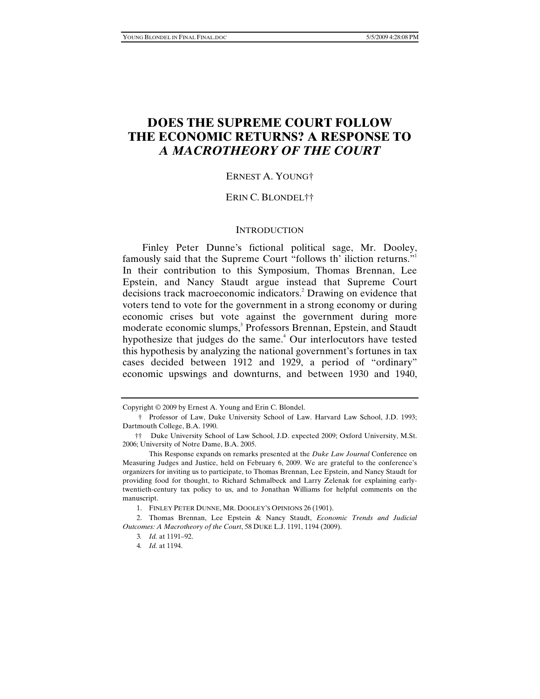# **DOES THE SUPREME COURT FOLLOW THE ECONOMIC RETURNS? A RESPONSE TO**  *A MACROTHEORY OF THE COURT*

# ERNEST A. YOUNG†

## ERIN C. BLONDEL††

## **INTRODUCTION**

Finley Peter Dunne's fictional political sage, Mr. Dooley, famously said that the Supreme Court "follows th' iliction returns." In their contribution to this Symposium, Thomas Brennan, Lee Epstein, and Nancy Staudt argue instead that Supreme Court decisions track macroeconomic indicators.<sup>2</sup> Drawing on evidence that voters tend to vote for the government in a strong economy or during economic crises but vote against the government during more moderate economic slumps,<sup>3</sup> Professors Brennan, Epstein, and Staudt hypothesize that judges do the same.<sup>4</sup> Our interlocutors have tested this hypothesis by analyzing the national government's fortunes in tax cases decided between 1912 and 1929, a period of "ordinary" economic upswings and downturns, and between 1930 and 1940,

Copyright © 2009 by Ernest A. Young and Erin C. Blondel.

 <sup>†</sup> Professor of Law, Duke University School of Law. Harvard Law School, J.D. 1993; Dartmouth College, B.A. 1990.

 <sup>††</sup> Duke University School of Law School, J.D. expected 2009; Oxford University, M.St. 2006; University of Notre Dame, B.A. 2005.

This Response expands on remarks presented at the *Duke Law Journal* Conference on Measuring Judges and Justice, held on February 6, 2009. We are grateful to the conference's organizers for inviting us to participate, to Thomas Brennan, Lee Epstein, and Nancy Staudt for providing food for thought, to Richard Schmalbeck and Larry Zelenak for explaining earlytwentieth-century tax policy to us, and to Jonathan Williams for helpful comments on the manuscript.

 <sup>1.</sup> FINLEY PETER DUNNE, MR. DOOLEY'S OPINIONS 26 (1901).

 <sup>2.</sup> Thomas Brennan, Lee Epstein & Nancy Staudt, *Economic Trends and Judicial Outcomes: A Macrotheory of the Court*, 58 DUKE L.J. 1191, 1194 (2009).

<sup>3</sup>*. Id.* at 1191–92.

<sup>4</sup>*. Id.* at 1194.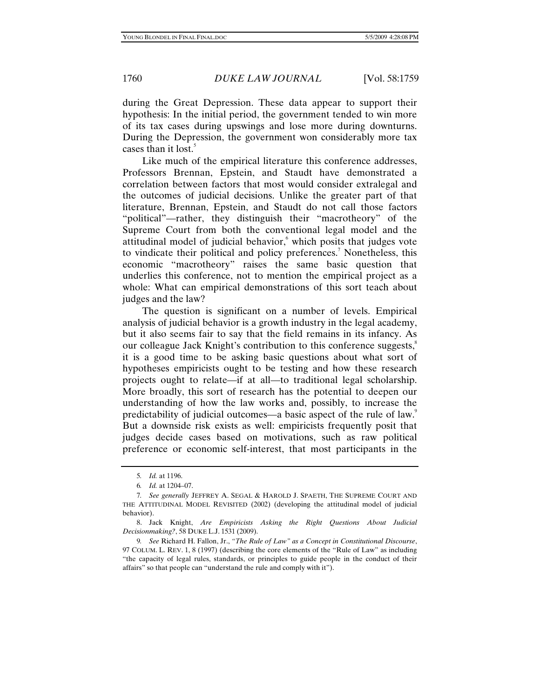during the Great Depression. These data appear to support their hypothesis: In the initial period, the government tended to win more of its tax cases during upswings and lose more during downturns. During the Depression, the government won considerably more tax cases than it lost.<sup>5</sup>

Like much of the empirical literature this conference addresses, Professors Brennan, Epstein, and Staudt have demonstrated a correlation between factors that most would consider extralegal and the outcomes of judicial decisions. Unlike the greater part of that literature, Brennan, Epstein, and Staudt do not call those factors "political"—rather, they distinguish their "macrotheory" of the Supreme Court from both the conventional legal model and the attitudinal model of judicial behavior,<sup>6</sup> which posits that judges vote to vindicate their political and policy preferences.<sup>7</sup> Nonetheless, this economic "macrotheory" raises the same basic question that underlies this conference, not to mention the empirical project as a whole: What can empirical demonstrations of this sort teach about judges and the law?

The question is significant on a number of levels. Empirical analysis of judicial behavior is a growth industry in the legal academy, but it also seems fair to say that the field remains in its infancy. As our colleague Jack Knight's contribution to this conference suggests,<sup>8</sup> it is a good time to be asking basic questions about what sort of hypotheses empiricists ought to be testing and how these research projects ought to relate—if at all—to traditional legal scholarship. More broadly, this sort of research has the potential to deepen our understanding of how the law works and, possibly, to increase the predictability of judicial outcomes—a basic aspect of the rule of law.<sup>9</sup> But a downside risk exists as well: empiricists frequently posit that judges decide cases based on motivations, such as raw political preference or economic self-interest, that most participants in the

<sup>5</sup>*. Id.* at 1196.

<sup>6</sup>*. Id.* at 1204–07.

<sup>7</sup>*. See generally* JEFFREY A. SEGAL & HAROLD J. SPAETH, THE SUPREME COURT AND THE ATTITUDINAL MODEL REVISITED (2002) (developing the attitudinal model of judicial behavior).

 <sup>8.</sup> Jack Knight, *Are Empiricists Asking the Right Questions About Judicial Decisionmaking?*, 58 DUKE L.J. 1531 (2009).

<sup>9</sup>*. See* Richard H. Fallon, Jr., *"The Rule of Law" as a Concept in Constitutional Discourse*, 97 COLUM. L. REV. 1, 8 (1997) (describing the core elements of the "Rule of Law" as including "the capacity of legal rules, standards, or principles to guide people in the conduct of their affairs" so that people can "understand the rule and comply with it").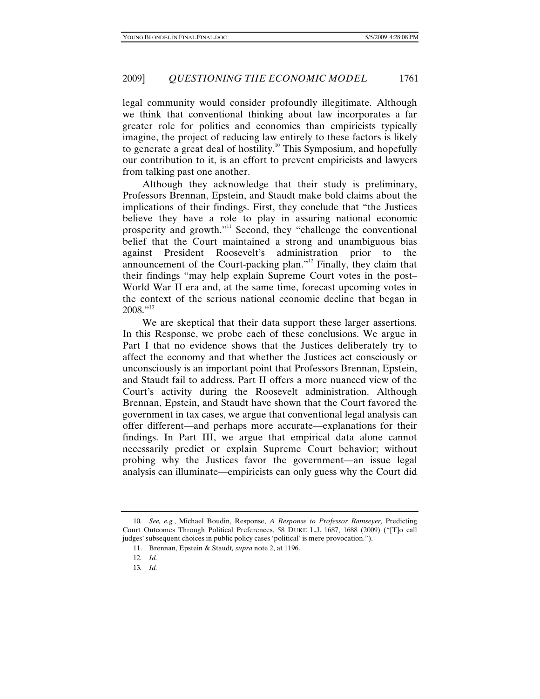legal community would consider profoundly illegitimate. Although we think that conventional thinking about law incorporates a far greater role for politics and economics than empiricists typically imagine, the project of reducing law entirely to these factors is likely to generate a great deal of hostility.<sup>10</sup> This Symposium, and hopefully our contribution to it, is an effort to prevent empiricists and lawyers from talking past one another.

Although they acknowledge that their study is preliminary, Professors Brennan, Epstein, and Staudt make bold claims about the implications of their findings. First, they conclude that "the Justices believe they have a role to play in assuring national economic prosperity and growth."<sup>11</sup> Second, they "challenge the conventional belief that the Court maintained a strong and unambiguous bias against President Roosevelt's administration prior to the announcement of the Court-packing plan."12 Finally, they claim that their findings "may help explain Supreme Court votes in the post– World War II era and, at the same time, forecast upcoming votes in the context of the serious national economic decline that began in 2008."13

We are skeptical that their data support these larger assertions. In this Response, we probe each of these conclusions. We argue in Part I that no evidence shows that the Justices deliberately try to affect the economy and that whether the Justices act consciously or unconsciously is an important point that Professors Brennan, Epstein, and Staudt fail to address. Part II offers a more nuanced view of the Court's activity during the Roosevelt administration. Although Brennan, Epstein, and Staudt have shown that the Court favored the government in tax cases, we argue that conventional legal analysis can offer different—and perhaps more accurate—explanations for their findings. In Part III, we argue that empirical data alone cannot necessarily predict or explain Supreme Court behavior; without probing why the Justices favor the government—an issue legal analysis can illuminate—empiricists can only guess why the Court did

<sup>10</sup>*. See, e.g.*, Michael Boudin, Response, *A Response to Professor Ramseyer,* Predicting Court Outcomes Through Political Preferences, 58 DUKE L.J. 1687, 1688 (2009) ("[T]o call judges' subsequent choices in public policy cases 'political' is mere provocation.").

 <sup>11.</sup> Brennan, Epstein & Staudt*, supra* note 2, at 1196.

<sup>12</sup>*. Id.*

<sup>13</sup>*. Id.*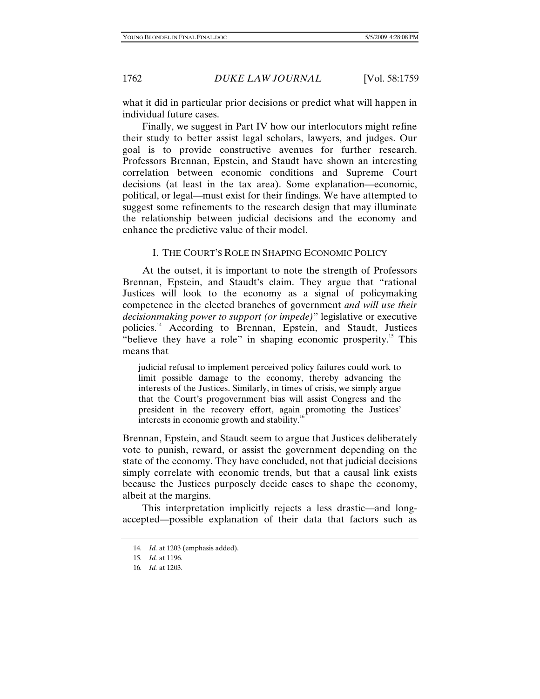what it did in particular prior decisions or predict what will happen in individual future cases.

Finally, we suggest in Part IV how our interlocutors might refine their study to better assist legal scholars, lawyers, and judges. Our goal is to provide constructive avenues for further research. Professors Brennan, Epstein, and Staudt have shown an interesting correlation between economic conditions and Supreme Court decisions (at least in the tax area). Some explanation—economic, political, or legal—must exist for their findings. We have attempted to suggest some refinements to the research design that may illuminate the relationship between judicial decisions and the economy and enhance the predictive value of their model.

## I. THE COURT'S ROLE IN SHAPING ECONOMIC POLICY

At the outset, it is important to note the strength of Professors Brennan, Epstein, and Staudt's claim. They argue that "rational Justices will look to the economy as a signal of policymaking competence in the elected branches of government *and will use their decisionmaking power to support (or impede)*" legislative or executive policies.14 According to Brennan, Epstein, and Staudt, Justices "believe they have a role" in shaping economic prosperity.<sup>15</sup> This means that

judicial refusal to implement perceived policy failures could work to limit possible damage to the economy, thereby advancing the interests of the Justices. Similarly, in times of crisis, we simply argue that the Court's progovernment bias will assist Congress and the president in the recovery effort, again promoting the Justices' interests in economic growth and stability.<sup>16</sup>

Brennan, Epstein, and Staudt seem to argue that Justices deliberately vote to punish, reward, or assist the government depending on the state of the economy. They have concluded, not that judicial decisions simply correlate with economic trends, but that a causal link exists because the Justices purposely decide cases to shape the economy, albeit at the margins.

This interpretation implicitly rejects a less drastic—and longaccepted—possible explanation of their data that factors such as

<sup>14</sup>*. Id.* at 1203 (emphasis added).

<sup>15</sup>*. Id.* at 1196.

<sup>16</sup>*. Id.* at 1203.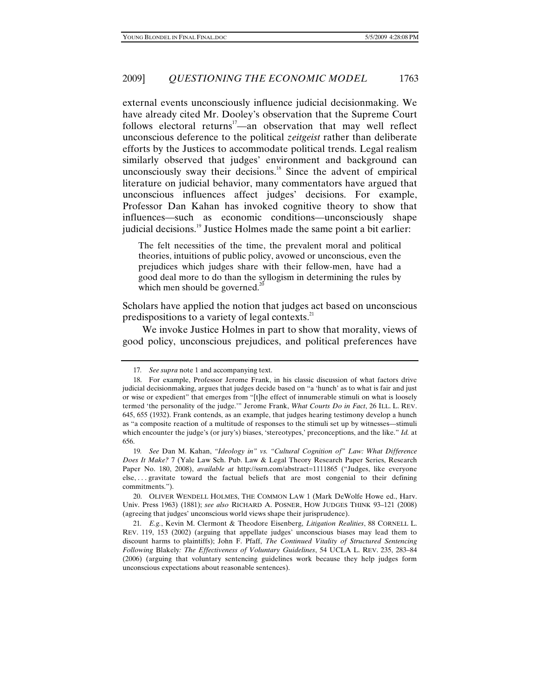external events unconsciously influence judicial decisionmaking. We have already cited Mr. Dooley's observation that the Supreme Court follows electoral returns<sup>17</sup>—an observation that may well reflect unconscious deference to the political *zeitgeist* rather than deliberate efforts by the Justices to accommodate political trends. Legal realism similarly observed that judges' environment and background can unconsciously sway their decisions. $18$  Since the advent of empirical literature on judicial behavior, many commentators have argued that unconscious influences affect judges' decisions. For example, Professor Dan Kahan has invoked cognitive theory to show that influences—such as economic conditions—unconsciously shape judicial decisions.<sup>19</sup> Justice Holmes made the same point a bit earlier:

The felt necessities of the time, the prevalent moral and political theories, intuitions of public policy, avowed or unconscious, even the prejudices which judges share with their fellow-men, have had a good deal more to do than the syllogism in determining the rules by which men should be governed. $^{20}$ 

Scholars have applied the notion that judges act based on unconscious predispositions to a variety of legal contexts.<sup>21</sup>

We invoke Justice Holmes in part to show that morality, views of good policy, unconscious prejudices, and political preferences have

<sup>17</sup>*. See supra* note 1 and accompanying text.

 <sup>18.</sup> For example, Professor Jerome Frank, in his classic discussion of what factors drive judicial decisionmaking, argues that judges decide based on "a 'hunch' as to what is fair and just or wise or expedient" that emerges from "[t]he effect of innumerable stimuli on what is loosely termed 'the personality of the judge.'" Jerome Frank, *What Courts Do in Fact*, 26 ILL. L. REV. 645, 655 (1932). Frank contends, as an example, that judges hearing testimony develop a hunch as "a composite reaction of a multitude of responses to the stimuli set up by witnesses—stimuli which encounter the judge's (or jury's) biases, 'stereotypes,' preconceptions, and the like." *Id.* at 656.

<sup>19</sup>*. See* Dan M. Kahan, *"Ideology in" vs. "Cultural Cognition of" Law: What Difference Does It Make?* 7 (Yale Law Sch. Pub. Law & Legal Theory Research Paper Series, Research Paper No. 180, 2008), *available at* http://ssrn.com/abstract=1111865 ("Judges, like everyone  $else, \ldots$  gravitate toward the factual beliefs that are most congenial to their defining commitments.").

 <sup>20.</sup> OLIVER WENDELL HOLMES, THE COMMON LAW 1 (Mark DeWolfe Howe ed., Harv. Univ. Press 1963) (1881); *see also* RICHARD A. POSNER, HOW JUDGES THINK 93–121 (2008) (agreeing that judges' unconscious world views shape their jurisprudence).

<sup>21</sup>*. E.g.*, Kevin M. Clermont & Theodore Eisenberg, *Litigation Realities*, 88 CORNELL L. REV. 119, 153 (2002) (arguing that appellate judges' unconscious biases may lead them to discount harms to plaintiffs); John F. Pfaff, *The Continued Vitality of Structured Sentencing Following* Blakely*: The Effectiveness of Voluntary Guidelines*, 54 UCLA L. REV. 235, 283–84 (2006) (arguing that voluntary sentencing guidelines work because they help judges form unconscious expectations about reasonable sentences).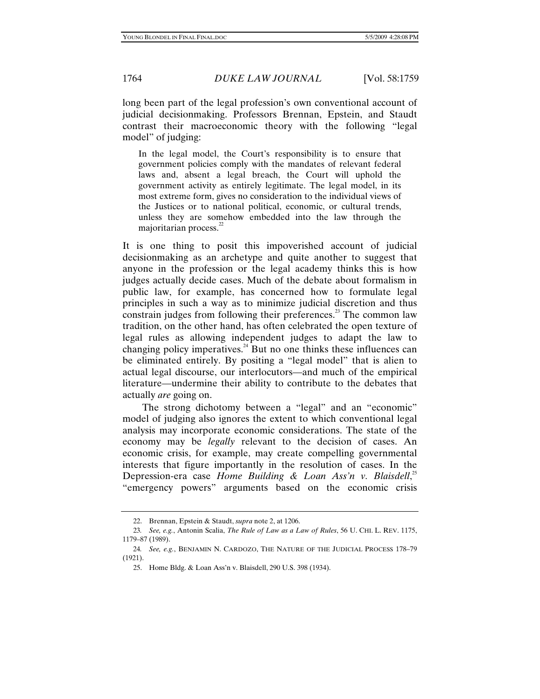long been part of the legal profession's own conventional account of judicial decisionmaking. Professors Brennan, Epstein, and Staudt contrast their macroeconomic theory with the following "legal model" of judging:

In the legal model, the Court's responsibility is to ensure that government policies comply with the mandates of relevant federal laws and, absent a legal breach, the Court will uphold the government activity as entirely legitimate. The legal model, in its most extreme form, gives no consideration to the individual views of the Justices or to national political, economic, or cultural trends, unless they are somehow embedded into the law through the majoritarian process. $22$ 

It is one thing to posit this impoverished account of judicial decisionmaking as an archetype and quite another to suggest that anyone in the profession or the legal academy thinks this is how judges actually decide cases. Much of the debate about formalism in public law, for example, has concerned how to formulate legal principles in such a way as to minimize judicial discretion and thus constrain judges from following their preferences.<sup>23</sup> The common law tradition, on the other hand, has often celebrated the open texture of legal rules as allowing independent judges to adapt the law to changing policy imperatives. $^{24}$  But no one thinks these influences can be eliminated entirely. By positing a "legal model" that is alien to actual legal discourse, our interlocutors—and much of the empirical literature—undermine their ability to contribute to the debates that actually *are* going on.

The strong dichotomy between a "legal" and an "economic" model of judging also ignores the extent to which conventional legal analysis may incorporate economic considerations. The state of the economy may be *legally* relevant to the decision of cases. An economic crisis, for example, may create compelling governmental interests that figure importantly in the resolution of cases. In the Depression-era case *Home Building & Loan Ass'n v. Blaisdell*,<sup>25</sup> "emergency powers" arguments based on the economic crisis

 <sup>22.</sup> Brennan, Epstein & Staudt, *supra* note 2, at 1206.

<sup>23</sup>*. See, e.g.*, Antonin Scalia, *The Rule of Law as a Law of Rules*, 56 U. CHI. L. REV. 1175, 1179–87 (1989).

<sup>24</sup>*. See, e.g.*, BENJAMIN N. CARDOZO, THE NATURE OF THE JUDICIAL PROCESS 178–79 (1921).

 <sup>25.</sup> Home Bldg. & Loan Ass'n v. Blaisdell, 290 U.S. 398 (1934).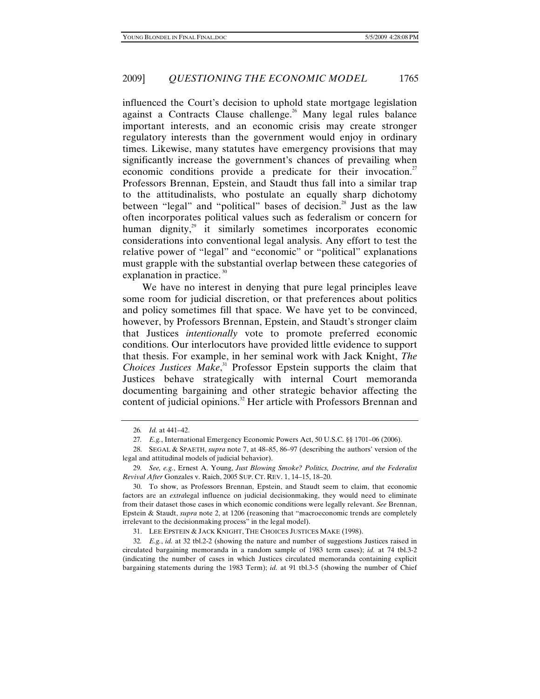influenced the Court's decision to uphold state mortgage legislation against a Contracts Clause challenge.<sup>26</sup> Many legal rules balance important interests, and an economic crisis may create stronger regulatory interests than the government would enjoy in ordinary times. Likewise, many statutes have emergency provisions that may significantly increase the government's chances of prevailing when economic conditions provide a predicate for their invocation. $2^7$ Professors Brennan, Epstein, and Staudt thus fall into a similar trap to the attitudinalists, who postulate an equally sharp dichotomy between "legal" and "political" bases of decision.<sup>28</sup> Just as the law often incorporates political values such as federalism or concern for human dignity, $29$  it similarly sometimes incorporates economic considerations into conventional legal analysis. Any effort to test the relative power of "legal" and "economic" or "political" explanations must grapple with the substantial overlap between these categories of explanation in practice. $30<sup>30</sup>$ 

We have no interest in denying that pure legal principles leave some room for judicial discretion, or that preferences about politics and policy sometimes fill that space. We have yet to be convinced, however, by Professors Brennan, Epstein, and Staudt's stronger claim that Justices *intentionally* vote to promote preferred economic conditions. Our interlocutors have provided little evidence to support that thesis. For example, in her seminal work with Jack Knight, *The Choices Justices Make*, 31 Professor Epstein supports the claim that Justices behave strategically with internal Court memoranda documenting bargaining and other strategic behavior affecting the content of judicial opinions.<sup>32</sup> Her article with Professors Brennan and

<sup>26</sup>*. Id.* at 441–42.

<sup>27</sup>*. E.g.*, International Emergency Economic Powers Act, 50 U.S.C. §§ 1701–06 (2006).

 <sup>28.</sup> SEGAL & SPAETH, *supra* note 7, at 48–85, 86–97 (describing the authors' version of the legal and attitudinal models of judicial behavior).

<sup>29</sup>*. See, e.g.*, Ernest A. Young, *Just Blowing Smoke? Politics, Doctrine, and the Federalist Revival After* Gonzales v. Raich, 2005 SUP. CT. REV. 1, 14–15, 18–20.

 <sup>30.</sup> To show, as Professors Brennan, Epstein, and Staudt seem to claim, that economic factors are an *extra*legal influence on judicial decisionmaking, they would need to eliminate from their dataset those cases in which economic conditions were legally relevant. *See* Brennan, Epstein & Staudt, *supra* note 2, at 1206 (reasoning that "macroeconomic trends are completely irrelevant to the decisionmaking process" in the legal model).

 <sup>31.</sup> LEE EPSTEIN & JACK KNIGHT, THE CHOICES JUSTICES MAKE (1998).

<sup>32</sup>*. E.g.*, *id.* at 32 tbl.2-2 (showing the nature and number of suggestions Justices raised in circulated bargaining memoranda in a random sample of 1983 term cases); *id.* at 74 tbl.3-2 (indicating the number of cases in which Justices circulated memoranda containing explicit bargaining statements during the 1983 Term); *id.* at 91 tbl.3-5 (showing the number of Chief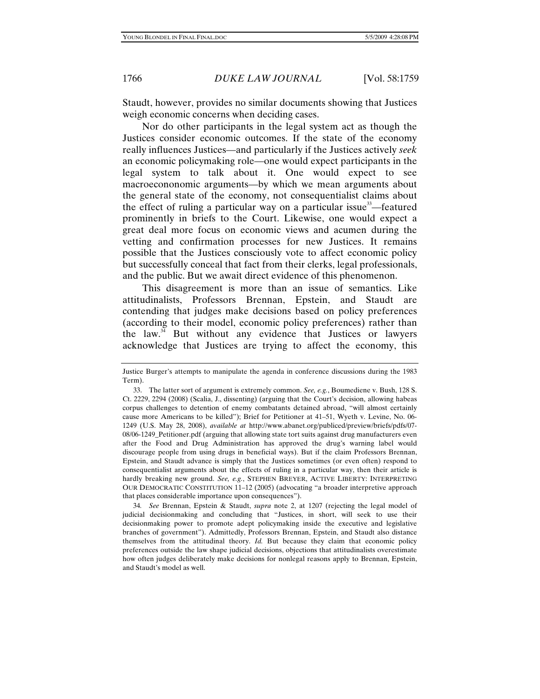Staudt, however, provides no similar documents showing that Justices weigh economic concerns when deciding cases.

Nor do other participants in the legal system act as though the Justices consider economic outcomes. If the state of the economy really influences Justices—and particularly if the Justices actively *seek* an economic policymaking role—one would expect participants in the legal system to talk about it. One would expect to see macroecononomic arguments—by which we mean arguments about the general state of the economy, not consequentialist claims about the effect of ruling a particular way on a particular issue $3^3$ —featured prominently in briefs to the Court. Likewise, one would expect a great deal more focus on economic views and acumen during the vetting and confirmation processes for new Justices. It remains possible that the Justices consciously vote to affect economic policy but successfully conceal that fact from their clerks, legal professionals, and the public. But we await direct evidence of this phenomenon.

This disagreement is more than an issue of semantics. Like attitudinalists, Professors Brennan, Epstein, and Staudt are contending that judges make decisions based on policy preferences (according to their model, economic policy preferences) rather than the law. $34$  But without any evidence that Justices or lawyers acknowledge that Justices are trying to affect the economy, this

Justice Burger's attempts to manipulate the agenda in conference discussions during the 1983 Term).

 <sup>33.</sup> The latter sort of argument is extremely common. *See, e.g.*, Boumediene v. Bush, 128 S. Ct. 2229, 2294 (2008) (Scalia, J., dissenting) (arguing that the Court's decision, allowing habeas corpus challenges to detention of enemy combatants detained abroad, "will almost certainly cause more Americans to be killed"); Brief for Petitioner at 41–51, Wyeth v. Levine, No. 06- 1249 (U.S. May 28, 2008), *available at* http://www.abanet.org/publiced/preview/briefs/pdfs/07- 08/06-1249\_Petitioner.pdf (arguing that allowing state tort suits against drug manufacturers even after the Food and Drug Administration has approved the drug's warning label would discourage people from using drugs in beneficial ways). But if the claim Professors Brennan, Epstein, and Staudt advance is simply that the Justices sometimes (or even often) respond to consequentialist arguments about the effects of ruling in a particular way, then their article is hardly breaking new ground. *See, e.g.*, STEPHEN BREYER, ACTIVE LIBERTY: INTERPRETING OUR DEMOCRATIC CONSTITUTION 11–12 (2005) (advocating "a broader interpretive approach that places considerable importance upon consequences").

<sup>34</sup>*. See* Brennan, Epstein & Staudt, *supra* note 2, at 1207 (rejecting the legal model of judicial decisionmaking and concluding that "Justices, in short, will seek to use their decisionmaking power to promote adept policymaking inside the executive and legislative branches of government"). Admittedly, Professors Brennan, Epstein, and Staudt also distance themselves from the attitudinal theory. *Id.* But because they claim that economic policy preferences outside the law shape judicial decisions, objections that attitudinalists overestimate how often judges deliberately make decisions for nonlegal reasons apply to Brennan, Epstein, and Staudt's model as well.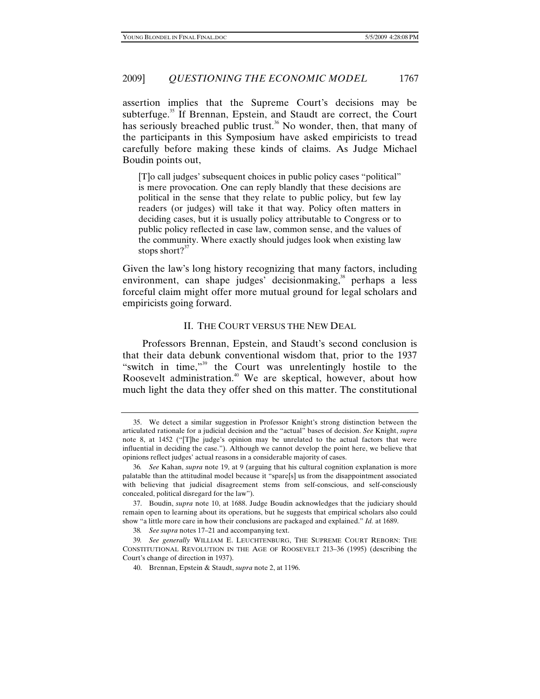# 2009] *QUESTIONING THE ECONOMIC MODEL* 1767

assertion implies that the Supreme Court's decisions may be subterfuge.<sup>35</sup> If Brennan, Epstein, and Staudt are correct, the Court has seriously breached public trust.<sup>36</sup> No wonder, then, that many of the participants in this Symposium have asked empiricists to tread carefully before making these kinds of claims. As Judge Michael Boudin points out,

[T]o call judges' subsequent choices in public policy cases "political" is mere provocation. One can reply blandly that these decisions are political in the sense that they relate to public policy, but few lay readers (or judges) will take it that way. Policy often matters in deciding cases, but it is usually policy attributable to Congress or to public policy reflected in case law, common sense, and the values of the community. Where exactly should judges look when existing law stops short? $37$ 

Given the law's long history recognizing that many factors, including environment, can shape judges' decisionmaking, $38$  perhaps a less forceful claim might offer more mutual ground for legal scholars and empiricists going forward.

#### II. THE COURT VERSUS THE NEW DEAL

Professors Brennan, Epstein, and Staudt's second conclusion is that their data debunk conventional wisdom that, prior to the 1937 "switch in time,"<sup>39</sup> the Court was unrelentingly hostile to the Roosevelt administration.<sup>40</sup> We are skeptical, however, about how much light the data they offer shed on this matter. The constitutional

 <sup>35.</sup> We detect a similar suggestion in Professor Knight's strong distinction between the articulated rationale for a judicial decision and the "actual" bases of decision. *See* Knight, *supra* note 8, at 1452 ("[T]he judge's opinion may be unrelated to the actual factors that were influential in deciding the case."). Although we cannot develop the point here, we believe that opinions reflect judges' actual reasons in a considerable majority of cases.

<sup>36</sup>*. See* Kahan, *supra* note 19, at 9 (arguing that his cultural cognition explanation is more palatable than the attitudinal model because it "spare[s] us from the disappointment associated with believing that judicial disagreement stems from self-conscious, and self-consciously concealed, political disregard for the law").

 <sup>37.</sup> Boudin, *supra* note 10, at 1688. Judge Boudin acknowledges that the judiciary should remain open to learning about its operations, but he suggests that empirical scholars also could show "a little more care in how their conclusions are packaged and explained." *Id.* at 1689.

<sup>38</sup>*. See supra* notes 17–21 and accompanying text.

<sup>39</sup>*. See generally* WILLIAM E. LEUCHTENBURG, THE SUPREME COURT REBORN: THE CONSTITUTIONAL REVOLUTION IN THE AGE OF ROOSEVELT 213–36 (1995) (describing the Court's change of direction in 1937).

 <sup>40.</sup> Brennan, Epstein & Staudt, *supra* note 2, at 1196.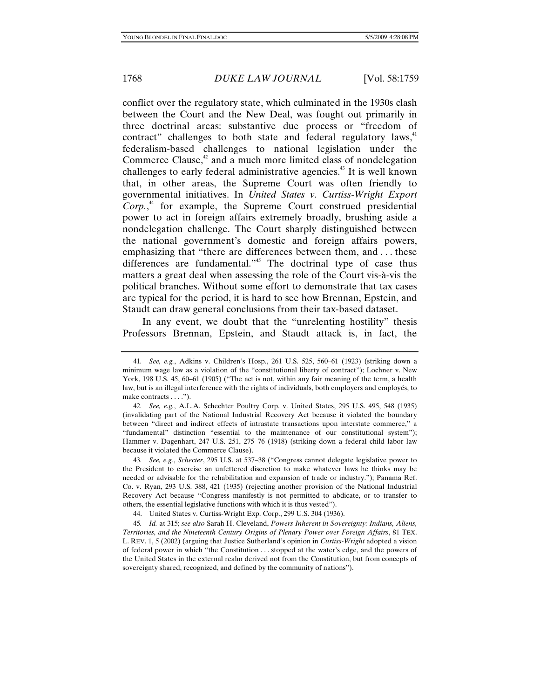conflict over the regulatory state, which culminated in the 1930s clash between the Court and the New Deal, was fought out primarily in three doctrinal areas: substantive due process or "freedom of contract" challenges to both state and federal regulatory laws, $4$ federalism-based challenges to national legislation under the Commerce Clause, $4^2$  and a much more limited class of nondelegation challenges to early federal administrative agencies.<sup>43</sup> It is well known that, in other areas, the Supreme Court was often friendly to governmental initiatives. In *United States v. Curtiss-Wright Export Corp.*, 44 for example, the Supreme Court construed presidential power to act in foreign affairs extremely broadly, brushing aside a nondelegation challenge. The Court sharply distinguished between the national government's domestic and foreign affairs powers, emphasizing that "there are differences between them, and . . . these differences are fundamental."<sup>45</sup> The doctrinal type of case thus matters a great deal when assessing the role of the Court vis-à-vis the political branches. Without some effort to demonstrate that tax cases are typical for the period, it is hard to see how Brennan, Epstein, and Staudt can draw general conclusions from their tax-based dataset.

In any event, we doubt that the "unrelenting hostility" thesis Professors Brennan, Epstein, and Staudt attack is, in fact, the

43*. See, e.g.*, *Schecter*, 295 U.S. at 537–38 ("Congress cannot delegate legislative power to the President to exercise an unfettered discretion to make whatever laws he thinks may be needed or advisable for the rehabilitation and expansion of trade or industry."); Panama Ref. Co. v. Ryan, 293 U.S. 388, 421 (1935) (rejecting another provision of the National Industrial Recovery Act because "Congress manifestly is not permitted to abdicate, or to transfer to others, the essential legislative functions with which it is thus vested").

<sup>41</sup>*. See, e.g.*, Adkins v. Children's Hosp., 261 U.S. 525, 560–61 (1923) (striking down a minimum wage law as a violation of the "constitutional liberty of contract"); Lochner v. New York, 198 U.S. 45, 60–61 (1905) ("The act is not, within any fair meaning of the term, a health law, but is an illegal interference with the rights of individuals, both employers and employés, to make contracts  $\dots$ ").

<sup>42</sup>*. See, e.g.*, A.L.A. Schechter Poultry Corp. v. United States, 295 U.S. 495, 548 (1935) (invalidating part of the National Industrial Recovery Act because it violated the boundary between "direct and indirect effects of intrastate transactions upon interstate commerce," a "fundamental" distinction "essential to the maintenance of our constitutional system"); Hammer v. Dagenhart, 247 U.S. 251, 275–76 (1918) (striking down a federal child labor law because it violated the Commerce Clause).

 <sup>44.</sup> United States v. Curtiss-Wright Exp. Corp., 299 U.S. 304 (1936).

<sup>45</sup>*. Id.* at 315; *see also* Sarah H. Cleveland, *Powers Inherent in Sovereignty: Indians, Aliens, Territories, and the Nineteenth Century Origins of Plenary Power over Foreign Affairs*, 81 TEX. L. REV. 1, 5 (2002) (arguing that Justice Sutherland's opinion in *Curtiss-Wright* adopted a vision of federal power in which "the Constitution . . . stopped at the water's edge, and the powers of the United States in the external realm derived not from the Constitution, but from concepts of sovereignty shared, recognized, and defined by the community of nations").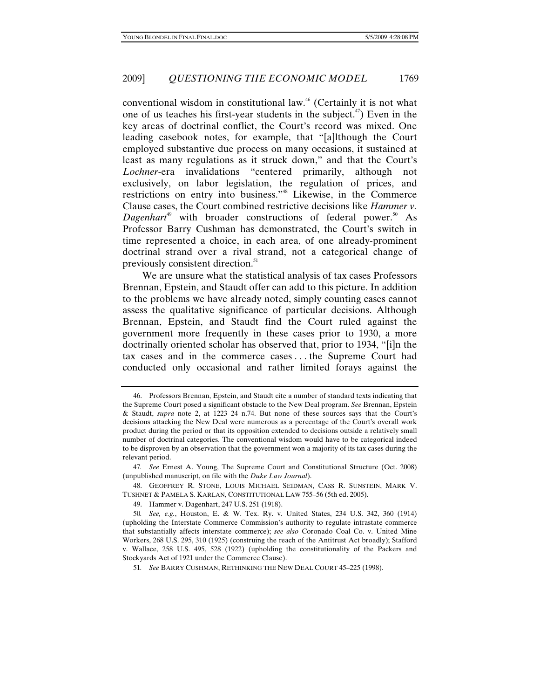conventional wisdom in constitutional law.46 (Certainly it is not what one of us teaches his first-year students in the subject.<sup> $47$ </sup>) Even in the key areas of doctrinal conflict, the Court's record was mixed. One leading casebook notes, for example, that "[a]lthough the Court employed substantive due process on many occasions, it sustained at least as many regulations as it struck down," and that the Court's *Lochner*-era invalidations "centered primarily, although not exclusively, on labor legislation, the regulation of prices, and restrictions on entry into business."48 Likewise, in the Commerce Clause cases, the Court combined restrictive decisions like *Hammer v. Dagenhart*<sup>49</sup> with broader constructions of federal power.<sup>50</sup> As Professor Barry Cushman has demonstrated, the Court's switch in time represented a choice, in each area, of one already-prominent doctrinal strand over a rival strand, not a categorical change of previously consistent direction.<sup>51</sup>

We are unsure what the statistical analysis of tax cases Professors Brennan, Epstein, and Staudt offer can add to this picture. In addition to the problems we have already noted, simply counting cases cannot assess the qualitative significance of particular decisions. Although Brennan, Epstein, and Staudt find the Court ruled against the government more frequently in these cases prior to 1930, a more doctrinally oriented scholar has observed that, prior to 1934, "[i]n the tax cases and in the commerce cases . . . the Supreme Court had conducted only occasional and rather limited forays against the

 <sup>46.</sup> Professors Brennan, Epstein, and Staudt cite a number of standard texts indicating that the Supreme Court posed a significant obstacle to the New Deal program. *See* Brennan, Epstein & Staudt, *supra* note 2, at 1223–24 n.74. But none of these sources says that the Court's decisions attacking the New Deal were numerous as a percentage of the Court's overall work product during the period or that its opposition extended to decisions outside a relatively small number of doctrinal categories. The conventional wisdom would have to be categorical indeed to be disproven by an observation that the government won a majority of its tax cases during the relevant period.

<sup>47</sup>*. See* Ernest A. Young, The Supreme Court and Constitutional Structure (Oct. 2008) (unpublished manuscript, on file with the *Duke Law Journal*).

 <sup>48.</sup> GEOFFREY R. STONE, LOUIS MICHAEL SEIDMAN, CASS R. SUNSTEIN, MARK V. TUSHNET & PAMELA S. KARLAN, CONSTITUTIONAL LAW 755–56 (5th ed. 2005).

 <sup>49.</sup> Hammer v. Dagenhart, 247 U.S. 251 (1918).

<sup>50</sup>*. See, e.g.*, Houston, E. & W. Tex. Ry. v. United States, 234 U.S. 342, 360 (1914) (upholding the Interstate Commerce Commission's authority to regulate intrastate commerce that substantially affects interstate commerce); *see also* Coronado Coal Co. v. United Mine Workers, 268 U.S. 295, 310 (1925) (construing the reach of the Antitrust Act broadly); Stafford v. Wallace, 258 U.S. 495, 528 (1922) (upholding the constitutionality of the Packers and Stockyards Act of 1921 under the Commerce Clause).

<sup>51</sup>*. See* BARRY CUSHMAN, RETHINKING THE NEW DEAL COURT 45–225 (1998).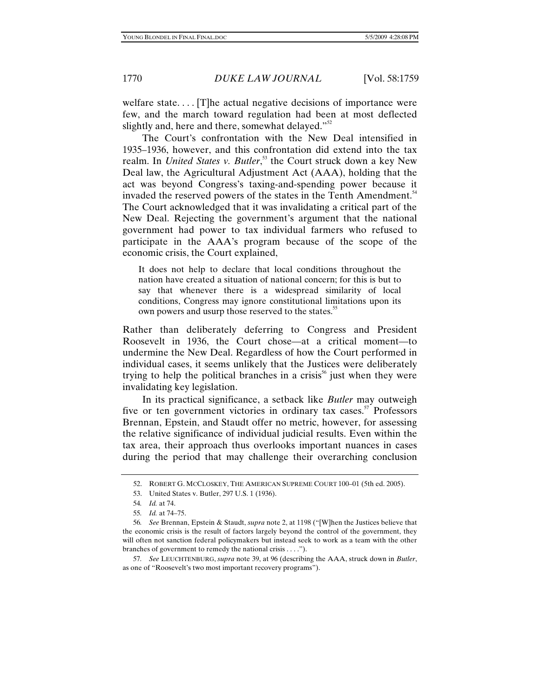welfare state.... [T]he actual negative decisions of importance were few, and the march toward regulation had been at most deflected slightly and, here and there, somewhat delayed."<sup>52</sup>

The Court's confrontation with the New Deal intensified in 1935–1936, however, and this confrontation did extend into the tax realm. In *United States v. Butler*,<sup>33</sup> the Court struck down a key New Deal law, the Agricultural Adjustment Act (AAA), holding that the act was beyond Congress's taxing-and-spending power because it invaded the reserved powers of the states in the Tenth Amendment.<sup>54</sup> The Court acknowledged that it was invalidating a critical part of the New Deal. Rejecting the government's argument that the national government had power to tax individual farmers who refused to participate in the AAA's program because of the scope of the economic crisis, the Court explained,

It does not help to declare that local conditions throughout the nation have created a situation of national concern; for this is but to say that whenever there is a widespread similarity of local conditions, Congress may ignore constitutional limitations upon its own powers and usurp those reserved to the states.<sup>55</sup>

Rather than deliberately deferring to Congress and President Roosevelt in 1936, the Court chose—at a critical moment—to undermine the New Deal. Regardless of how the Court performed in individual cases, it seems unlikely that the Justices were deliberately trying to help the political branches in a crisis<sup>56</sup> just when they were invalidating key legislation.

In its practical significance, a setback like *Butler* may outweigh five or ten government victories in ordinary tax cases.<sup>57</sup> Professors Brennan, Epstein, and Staudt offer no metric, however, for assessing the relative significance of individual judicial results. Even within the tax area, their approach thus overlooks important nuances in cases during the period that may challenge their overarching conclusion

55*. Id.* at 74–75.

 <sup>52.</sup> ROBERT G. MCCLOSKEY, THE AMERICAN SUPREME COURT 100–01 (5th ed. 2005).

 <sup>53.</sup> United States v. Butler, 297 U.S. 1 (1936).

<sup>54</sup>*. Id.* at 74.

<sup>56</sup>*. See* Brennan, Epstein & Staudt, *supra* note 2, at 1198 ("[W]hen the Justices believe that the economic crisis is the result of factors largely beyond the control of the government, they will often not sanction federal policymakers but instead seek to work as a team with the other branches of government to remedy the national crisis . . . .").

<sup>57</sup>*. See* LEUCHTENBURG, *supra* note 39, at 96 (describing the AAA, struck down in *Butler*, as one of "Roosevelt's two most important recovery programs").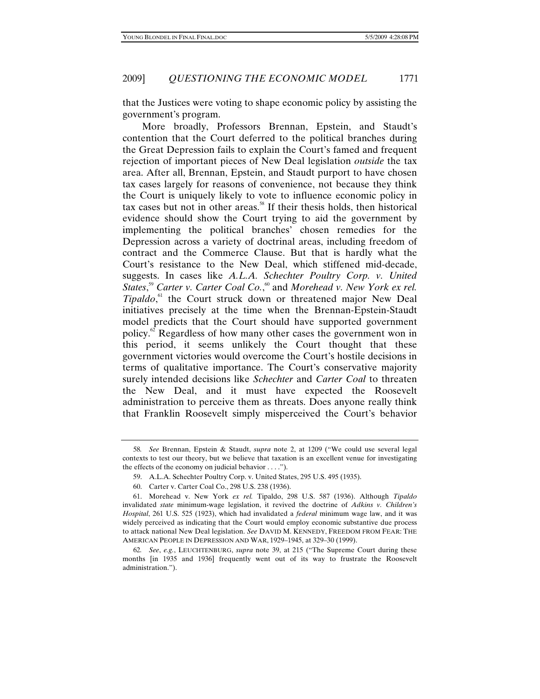that the Justices were voting to shape economic policy by assisting the government's program.

More broadly, Professors Brennan, Epstein, and Staudt's contention that the Court deferred to the political branches during the Great Depression fails to explain the Court's famed and frequent rejection of important pieces of New Deal legislation *outside* the tax area. After all, Brennan, Epstein, and Staudt purport to have chosen tax cases largely for reasons of convenience, not because they think the Court is uniquely likely to vote to influence economic policy in tax cases but not in other areas.<sup>58</sup> If their thesis holds, then historical evidence should show the Court trying to aid the government by implementing the political branches' chosen remedies for the Depression across a variety of doctrinal areas, including freedom of contract and the Commerce Clause. But that is hardly what the Court's resistance to the New Deal, which stiffened mid-decade, suggests. In cases like *A.L.A. Schechter Poultry Corp. v. United States*,<sup>59</sup> *Carter v. Carter Coal Co.*,<sup>60</sup> and *Morehead v. New York ex rel.* Tipaldo,<sup>61</sup> the Court struck down or threatened major New Deal initiatives precisely at the time when the Brennan-Epstein-Staudt model predicts that the Court should have supported government policy. $\degree$  Regardless of how many other cases the government won in this period, it seems unlikely the Court thought that these government victories would overcome the Court's hostile decisions in terms of qualitative importance. The Court's conservative majority surely intended decisions like *Schechter* and *Carter Coal* to threaten the New Deal, and it must have expected the Roosevelt administration to perceive them as threats. Does anyone really think that Franklin Roosevelt simply misperceived the Court's behavior

<sup>58</sup>*. See* Brennan, Epstein & Staudt, *supra* note 2, at 1209 ("We could use several legal contexts to test our theory, but we believe that taxation is an excellent venue for investigating the effects of the economy on judicial behavior . . . .").

 <sup>59.</sup> A.L.A. Schechter Poultry Corp. v. United States, 295 U.S. 495 (1935).

 <sup>60.</sup> Carter v. Carter Coal Co., 298 U.S. 238 (1936).

 <sup>61.</sup> Morehead v. New York *ex rel.* Tipaldo, 298 U.S. 587 (1936). Although *Tipaldo* invalidated *state* minimum-wage legislation, it revived the doctrine of *Adkins v. Children's Hospital*, 261 U.S. 525 (1923), which had invalidated a *federal* minimum wage law, and it was widely perceived as indicating that the Court would employ economic substantive due process to attack national New Deal legislation. *See* DAVID M. KENNEDY, FREEDOM FROM FEAR: THE AMERICAN PEOPLE IN DEPRESSION AND WAR, 1929–1945, at 329–30 (1999).

<sup>62</sup>*. See*, *e.g.*, LEUCHTENBURG, *supra* note 39, at 215 ("The Supreme Court during these months [in 1935 and 1936] frequently went out of its way to frustrate the Roosevelt administration.").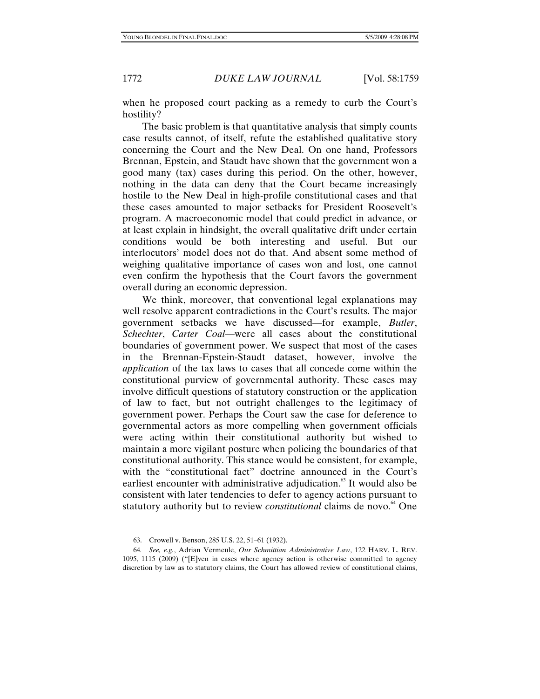when he proposed court packing as a remedy to curb the Court's hostility?

The basic problem is that quantitative analysis that simply counts case results cannot, of itself, refute the established qualitative story concerning the Court and the New Deal. On one hand, Professors Brennan, Epstein, and Staudt have shown that the government won a good many (tax) cases during this period. On the other, however, nothing in the data can deny that the Court became increasingly hostile to the New Deal in high-profile constitutional cases and that these cases amounted to major setbacks for President Roosevelt's program. A macroeconomic model that could predict in advance, or at least explain in hindsight, the overall qualitative drift under certain conditions would be both interesting and useful. But our interlocutors' model does not do that. And absent some method of weighing qualitative importance of cases won and lost, one cannot even confirm the hypothesis that the Court favors the government overall during an economic depression.

We think, moreover, that conventional legal explanations may well resolve apparent contradictions in the Court's results. The major government setbacks we have discussed—for example, *Butler*, *Schechter*, *Carter Coal*—were all cases about the constitutional boundaries of government power. We suspect that most of the cases in the Brennan-Epstein-Staudt dataset, however, involve the *application* of the tax laws to cases that all concede come within the constitutional purview of governmental authority. These cases may involve difficult questions of statutory construction or the application of law to fact, but not outright challenges to the legitimacy of government power. Perhaps the Court saw the case for deference to governmental actors as more compelling when government officials were acting within their constitutional authority but wished to maintain a more vigilant posture when policing the boundaries of that constitutional authority. This stance would be consistent, for example, with the "constitutional fact" doctrine announced in the Court's earliest encounter with administrative adjudication.<sup>63</sup> It would also be consistent with later tendencies to defer to agency actions pursuant to statutory authority but to review *constitutional* claims de novo.<sup>64</sup> One

 <sup>63.</sup> Crowell v. Benson, 285 U.S. 22, 51–61 (1932).

<sup>64</sup>*. See, e.g.*, Adrian Vermeule, *Our Schmittian Administrative Law*, 122 HARV. L. REV. 1095, 1115 (2009) ("[E]ven in cases where agency action is otherwise committed to agency discretion by law as to statutory claims, the Court has allowed review of constitutional claims,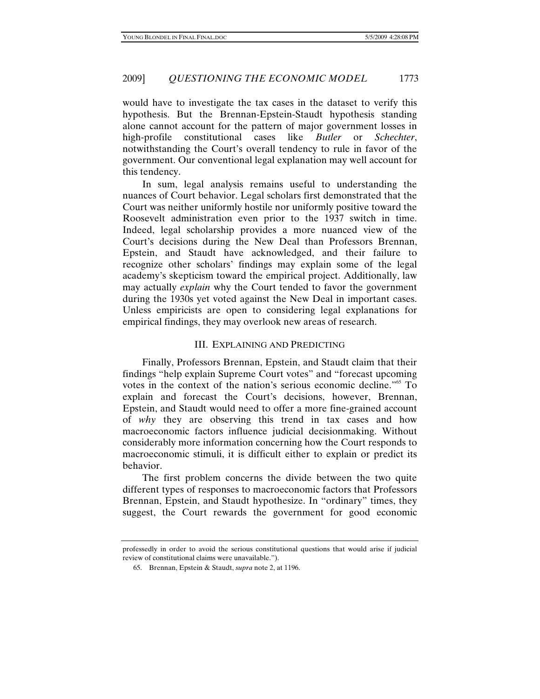would have to investigate the tax cases in the dataset to verify this hypothesis. But the Brennan-Epstein-Staudt hypothesis standing alone cannot account for the pattern of major government losses in high-profile constitutional cases like *Butler* or *Schechter*, notwithstanding the Court's overall tendency to rule in favor of the government. Our conventional legal explanation may well account for this tendency.

In sum, legal analysis remains useful to understanding the nuances of Court behavior. Legal scholars first demonstrated that the Court was neither uniformly hostile nor uniformly positive toward the Roosevelt administration even prior to the 1937 switch in time. Indeed, legal scholarship provides a more nuanced view of the Court's decisions during the New Deal than Professors Brennan, Epstein, and Staudt have acknowledged, and their failure to recognize other scholars' findings may explain some of the legal academy's skepticism toward the empirical project. Additionally, law may actually *explain* why the Court tended to favor the government during the 1930s yet voted against the New Deal in important cases. Unless empiricists are open to considering legal explanations for empirical findings, they may overlook new areas of research.

### III. EXPLAINING AND PREDICTING

Finally, Professors Brennan, Epstein, and Staudt claim that their findings "help explain Supreme Court votes" and "forecast upcoming votes in the context of the nation's serious economic decline."<sup>65</sup> To explain and forecast the Court's decisions, however, Brennan, Epstein, and Staudt would need to offer a more fine-grained account of *why* they are observing this trend in tax cases and how macroeconomic factors influence judicial decisionmaking. Without considerably more information concerning how the Court responds to macroeconomic stimuli, it is difficult either to explain or predict its behavior.

The first problem concerns the divide between the two quite different types of responses to macroeconomic factors that Professors Brennan, Epstein, and Staudt hypothesize. In "ordinary" times, they suggest, the Court rewards the government for good economic

professedly in order to avoid the serious constitutional questions that would arise if judicial review of constitutional claims were unavailable.").

 <sup>65.</sup> Brennan, Epstein & Staudt, *supra* note 2, at 1196.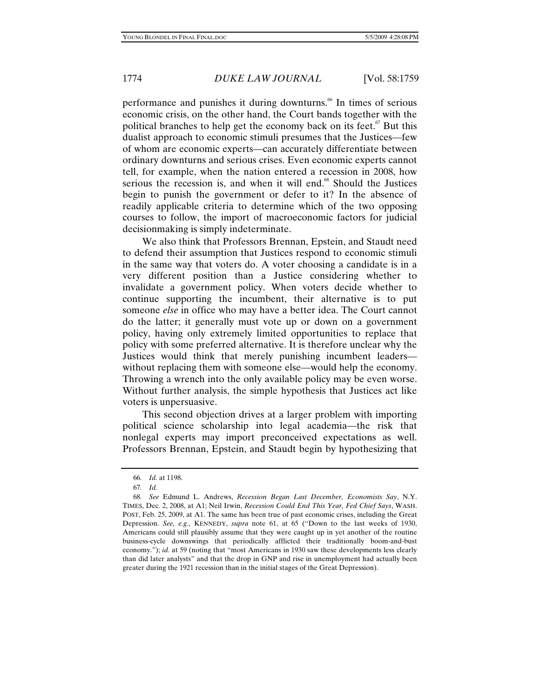performance and punishes it during downturns.<sup>66</sup> In times of serious economic crisis, on the other hand, the Court bands together with the political branches to help get the economy back on its feet.<sup>67</sup> But this dualist approach to economic stimuli presumes that the Justices—few of whom are economic experts—can accurately differentiate between ordinary downturns and serious crises. Even economic experts cannot tell, for example, when the nation entered a recession in 2008, how serious the recession is, and when it will end.<sup>68</sup> Should the Justices begin to punish the government or defer to it? In the absence of readily applicable criteria to determine which of the two opposing courses to follow, the import of macroeconomic factors for judicial decisionmaking is simply indeterminate.

We also think that Professors Brennan, Epstein, and Staudt need to defend their assumption that Justices respond to economic stimuli in the same way that voters do. A voter choosing a candidate is in a very different position than a Justice considering whether to invalidate a government policy. When voters decide whether to continue supporting the incumbent, their alternative is to put someone *else* in office who may have a better idea. The Court cannot do the latter; it generally must vote up or down on a government policy, having only extremely limited opportunities to replace that policy with some preferred alternative. It is therefore unclear why the Justices would think that merely punishing incumbent leaders without replacing them with someone else—would help the economy. Throwing a wrench into the only available policy may be even worse. Without further analysis, the simple hypothesis that Justices act like voters is unpersuasive.

This second objection drives at a larger problem with importing political science scholarship into legal academia—the risk that nonlegal experts may import preconceived expectations as well. Professors Brennan, Epstein, and Staudt begin by hypothesizing that

<sup>66</sup>*. Id.* at 1198.

<sup>67</sup>*. Id.*

<sup>68</sup>*. See* Edmund L. Andrews, *Recession Began Last December, Economists Say*, N.Y. TIMES, Dec. 2, 2008, at A1; Neil Irwin, *Recession Could End This Year, Fed Chief Says*, WASH. POST, Feb. 25, 2009, at A1. The same has been true of past economic crises, including the Great Depression. *See, e.g.*, KENNEDY, *supra* note 61, at 65 ("Down to the last weeks of 1930, Americans could still plausibly assume that they were caught up in yet another of the routine business-cycle downswings that periodically afflicted their traditionally boom-and-bust economy."); *id.* at 59 (noting that "most Americans in 1930 saw these developments less clearly than did later analysts" and that the drop in GNP and rise in unemployment had actually been greater during the 1921 recession than in the initial stages of the Great Depression).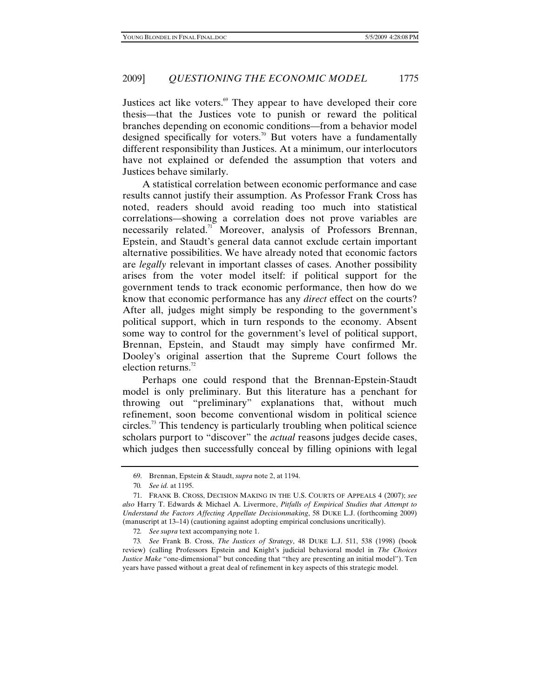Justices act like voters.<sup>69</sup> They appear to have developed their core thesis—that the Justices vote to punish or reward the political branches depending on economic conditions—from a behavior model designed specifically for voters.<sup>70</sup> But voters have a fundamentally different responsibility than Justices. At a minimum, our interlocutors have not explained or defended the assumption that voters and Justices behave similarly.

A statistical correlation between economic performance and case results cannot justify their assumption. As Professor Frank Cross has noted, readers should avoid reading too much into statistical correlations—showing a correlation does not prove variables are necessarily related.<sup>71</sup> Moreover, analysis of Professors Brennan, Epstein, and Staudt's general data cannot exclude certain important alternative possibilities. We have already noted that economic factors are *legally* relevant in important classes of cases. Another possibility arises from the voter model itself: if political support for the government tends to track economic performance, then how do we know that economic performance has any *direct* effect on the courts? After all, judges might simply be responding to the government's political support, which in turn responds to the economy. Absent some way to control for the government's level of political support, Brennan, Epstein, and Staudt may simply have confirmed Mr. Dooley's original assertion that the Supreme Court follows the election returns. $^{72}$ 

Perhaps one could respond that the Brennan-Epstein-Staudt model is only preliminary. But this literature has a penchant for throwing out "preliminary" explanations that, without much refinement, soon become conventional wisdom in political science circles.<sup>73</sup> This tendency is particularly troubling when political science scholars purport to "discover" the *actual* reasons judges decide cases, which judges then successfully conceal by filling opinions with legal

 <sup>69.</sup> Brennan, Epstein & Staudt, *supra* note 2, at 1194.

<sup>70</sup>*. See id.* at 1195.

 <sup>71.</sup> FRANK B. CROSS, DECISION MAKING IN THE U.S. COURTS OF APPEALS 4 (2007); *see also* Harry T. Edwards & Michael A. Livermore, *Pitfalls of Empirical Studies that Attempt to Understand the Factors Affecting Appellate Decisionmaking*, 58 DUKE L.J. (forthcoming 2009) (manuscript at 13–14) (cautioning against adopting empirical conclusions uncritically).

<sup>72</sup>*. See supra* text accompanying note 1.

<sup>73</sup>*. See* Frank B. Cross, *The Justices of Strategy*, 48 DUKE L.J. 511, 538 (1998) (book review) (calling Professors Epstein and Knight's judicial behavioral model in *The Choices Justice Make* "one-dimensional" but conceding that "they are presenting an initial model"). Ten years have passed without a great deal of refinement in key aspects of this strategic model.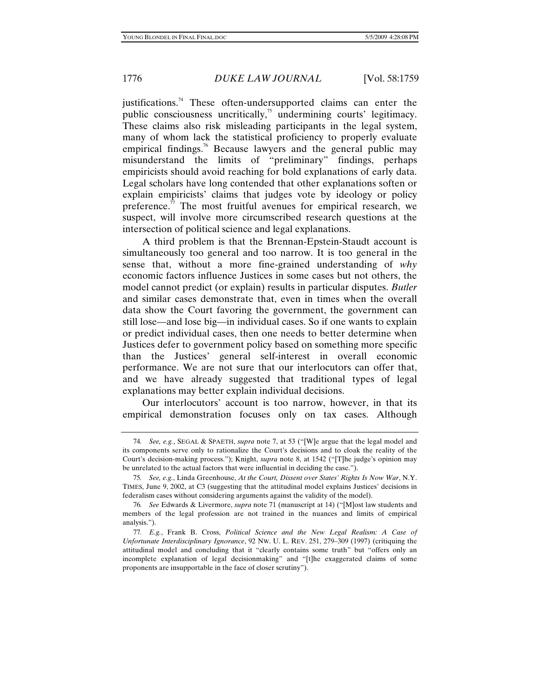justifications.<sup>74</sup> These often-undersupported claims can enter the public consciousness uncritically,<sup>75</sup> undermining courts' legitimacy. These claims also risk misleading participants in the legal system, many of whom lack the statistical proficiency to properly evaluate empirical findings.<sup>76</sup> Because lawyers and the general public may misunderstand the limits of "preliminary" findings, perhaps empiricists should avoid reaching for bold explanations of early data. Legal scholars have long contended that other explanations soften or explain empiricists' claims that judges vote by ideology or policy preference.<sup>77</sup> The most fruitful avenues for empirical research, we suspect, will involve more circumscribed research questions at the intersection of political science and legal explanations.

A third problem is that the Brennan-Epstein-Staudt account is simultaneously too general and too narrow. It is too general in the sense that, without a more fine-grained understanding of *why* economic factors influence Justices in some cases but not others, the model cannot predict (or explain) results in particular disputes. *Butler* and similar cases demonstrate that, even in times when the overall data show the Court favoring the government, the government can still lose—and lose big—in individual cases. So if one wants to explain or predict individual cases, then one needs to better determine when Justices defer to government policy based on something more specific than the Justices' general self-interest in overall economic performance. We are not sure that our interlocutors can offer that, and we have already suggested that traditional types of legal explanations may better explain individual decisions.

Our interlocutors' account is too narrow, however, in that its empirical demonstration focuses only on tax cases. Although

<sup>74</sup>*. See, e.g.*, SEGAL & SPAETH, *supra* note 7, at 53 ("[W]e argue that the legal model and its components serve only to rationalize the Court's decisions and to cloak the reality of the Court's decision-making process."); Knight, *supra* note 8, at 1542 ("[T]he judge's opinion may be unrelated to the actual factors that were influential in deciding the case.").

<sup>75</sup>*. See, e.g.*, Linda Greenhouse, *At the Court, Dissent over States' Rights Is Now War*, N.Y. TIMES, June 9, 2002, at C3 (suggesting that the attitudinal model explains Justices' decisions in federalism cases without considering arguments against the validity of the model).

<sup>76</sup>*. See* Edwards & Livermore, *supra* note 71 (manuscript at 14) ("[M]ost law students and members of the legal profession are not trained in the nuances and limits of empirical analysis.").

<sup>77</sup>*. E.g.*, Frank B. Cross, *Political Science and the New Legal Realism: A Case of Unfortunate Interdisciplinary Ignorance*, 92 NW. U. L. REV. 251, 279–309 (1997) (critiquing the attitudinal model and concluding that it "clearly contains some truth" but "offers only an incomplete explanation of legal decisionmaking" and "[t]he exaggerated claims of some proponents are insupportable in the face of closer scrutiny").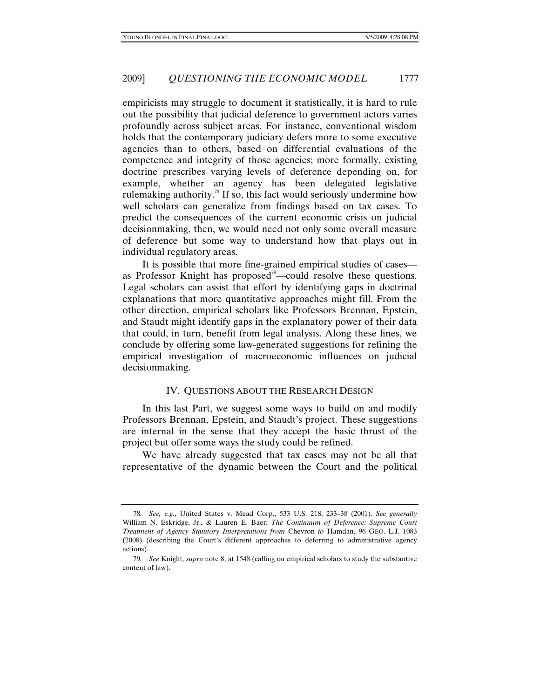empiricists may struggle to document it statistically, it is hard to rule out the possibility that judicial deference to government actors varies profoundly across subject areas. For instance, conventional wisdom holds that the contemporary judiciary defers more to some executive agencies than to others, based on differential evaluations of the competence and integrity of those agencies; more formally, existing doctrine prescribes varying levels of deference depending on, for example, whether an agency has been delegated legislative rulemaking authority.<sup>78</sup> If so, this fact would seriously undermine how well scholars can generalize from findings based on tax cases. To predict the consequences of the current economic crisis on judicial decisionmaking, then, we would need not only some overall measure of deference but some way to understand how that plays out in individual regulatory areas.

It is possible that more fine-grained empirical studies of cases as Professor Knight has proposed<sup>79</sup>—could resolve these questions. Legal scholars can assist that effort by identifying gaps in doctrinal explanations that more quantitative approaches might fill. From the other direction, empirical scholars like Professors Brennan, Epstein, and Staudt might identify gaps in the explanatory power of their data that could, in turn, benefit from legal analysis. Along these lines, we conclude by offering some law-generated suggestions for refining the empirical investigation of macroeconomic influences on judicial decisionmaking.

#### IV. QUESTIONS ABOUT THE RESEARCH DESIGN

In this last Part, we suggest some ways to build on and modify Professors Brennan, Epstein, and Staudt's project. These suggestions are internal in the sense that they accept the basic thrust of the project but offer some ways the study could be refined.

We have already suggested that tax cases may not be all that representative of the dynamic between the Court and the political

<sup>78</sup>*. See, e.g.*, United States v. Mead Corp., 533 U.S. 218, 233–38 (2001). *See generally* William N. Eskridge, Jr., & Lauren E. Baer, *The Continuum of Deference: Supreme Court Treatment of Agency Statutory Interpretations from* Chevron *to* Hamdan, 96 GEO. L.J. 1083 (2008) (describing the Court's different approaches to deferring to administrative agency actions).

<sup>79</sup>*. See* Knight, *supra* note 8, at 1548 (calling on empirical scholars to study the substantive content of law).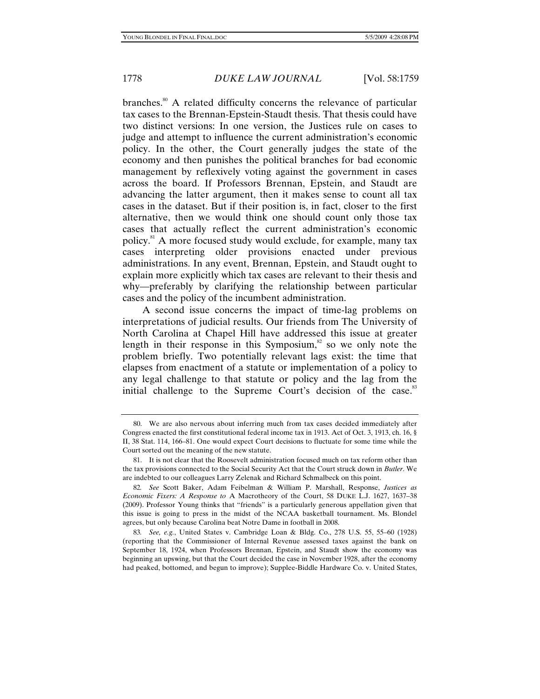branches.<sup>80</sup> A related difficulty concerns the relevance of particular tax cases to the Brennan-Epstein-Staudt thesis. That thesis could have two distinct versions: In one version, the Justices rule on cases to judge and attempt to influence the current administration's economic policy. In the other, the Court generally judges the state of the economy and then punishes the political branches for bad economic management by reflexively voting against the government in cases across the board. If Professors Brennan, Epstein, and Staudt are advancing the latter argument, then it makes sense to count all tax cases in the dataset. But if their position is, in fact, closer to the first alternative, then we would think one should count only those tax cases that actually reflect the current administration's economic policy.81 A more focused study would exclude, for example, many tax cases interpreting older provisions enacted under previous administrations. In any event, Brennan, Epstein, and Staudt ought to explain more explicitly which tax cases are relevant to their thesis and why—preferably by clarifying the relationship between particular cases and the policy of the incumbent administration.

A second issue concerns the impact of time-lag problems on interpretations of judicial results. Our friends from The University of North Carolina at Chapel Hill have addressed this issue at greater length in their response in this Symposium, $82$  so we only note the problem briefly. Two potentially relevant lags exist: the time that elapses from enactment of a statute or implementation of a policy to any legal challenge to that statute or policy and the lag from the initial challenge to the Supreme Court's decision of the case.<sup>83</sup>

 <sup>80.</sup> We are also nervous about inferring much from tax cases decided immediately after Congress enacted the first constitutional federal income tax in 1913. Act of Oct. 3, 1913, ch. 16, § II, 38 Stat. 114, 166–81. One would expect Court decisions to fluctuate for some time while the Court sorted out the meaning of the new statute.

 <sup>81.</sup> It is not clear that the Roosevelt administration focused much on tax reform other than the tax provisions connected to the Social Security Act that the Court struck down in *Butler*. We are indebted to our colleagues Larry Zelenak and Richard Schmalbeck on this point.

<sup>82</sup>*. See* Scott Baker, Adam Feibelman & William P. Marshall, Response, *Justices as Economic Fixers: A Response to* A Macrotheory of the Court, 58 DUKE L.J. 1627, 1637–38 (2009). Professor Young thinks that "friends" is a particularly generous appellation given that this issue is going to press in the midst of the NCAA basketball tournament. Ms. Blondel agrees, but only because Carolina beat Notre Dame in football in 2008.

<sup>83</sup>*. See, e.g.*, United States v. Cambridge Loan & Bldg. Co., 278 U.S. 55, 55–60 (1928) (reporting that the Commissioner of Internal Revenue assessed taxes against the bank on September 18, 1924, when Professors Brennan, Epstein, and Staudt show the economy was beginning an upswing, but that the Court decided the case in November 1928, after the economy had peaked, bottomed, and begun to improve); Supplee-Biddle Hardware Co. v. United States,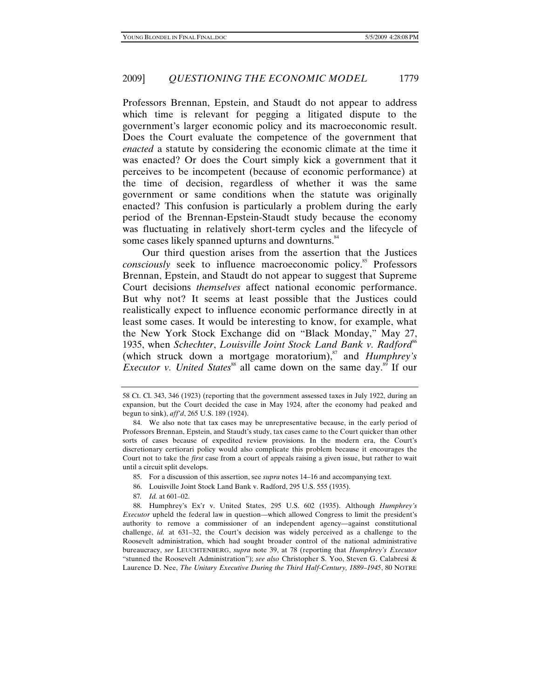Professors Brennan, Epstein, and Staudt do not appear to address which time is relevant for pegging a litigated dispute to the government's larger economic policy and its macroeconomic result. Does the Court evaluate the competence of the government that *enacted* a statute by considering the economic climate at the time it was enacted? Or does the Court simply kick a government that it perceives to be incompetent (because of economic performance) at the time of decision, regardless of whether it was the same government or same conditions when the statute was originally enacted? This confusion is particularly a problem during the early period of the Brennan-Epstein-Staudt study because the economy was fluctuating in relatively short-term cycles and the lifecycle of some cases likely spanned upturns and downturns.<sup>84</sup>

Our third question arises from the assertion that the Justices *consciously* seek to influence macroeconomic policy.<sup>85</sup> Professors Brennan, Epstein, and Staudt do not appear to suggest that Supreme Court decisions *themselves* affect national economic performance. But why not? It seems at least possible that the Justices could realistically expect to influence economic performance directly in at least some cases. It would be interesting to know, for example, what the New York Stock Exchange did on "Black Monday," May 27, 1935, when *Schechter*, *Louisville Joint Stock Land Bank v. Radford*<sup>86</sup> (which struck down a mortgage moratorium), $\delta$ <sup>7</sup> and *Humphrey's Executor v. United States*<sup>88</sup> all came down on the same day.<sup>89</sup> If our

- 85. For a discussion of this assertion, see *supra* notes 14–16 and accompanying text.
- 86. Louisville Joint Stock Land Bank v. Radford, 295 U.S. 555 (1935).
- 87*. Id.* at 601–02.

<sup>58</sup> Ct. Cl. 343, 346 (1923) (reporting that the government assessed taxes in July 1922, during an expansion, but the Court decided the case in May 1924, after the economy had peaked and begun to sink), *aff'd*, 265 U.S. 189 (1924).

 <sup>84.</sup> We also note that tax cases may be unrepresentative because, in the early period of Professors Brennan, Epstein, and Staudt's study, tax cases came to the Court quicker than other sorts of cases because of expedited review provisions. In the modern era, the Court's discretionary certiorari policy would also complicate this problem because it encourages the Court not to take the *first* case from a court of appeals raising a given issue, but rather to wait until a circuit split develops.

 <sup>88.</sup> Humphrey's Ex'r v. United States, 295 U.S. 602 (1935). Although *Humphrey's Executor* upheld the federal law in question—which allowed Congress to limit the president's authority to remove a commissioner of an independent agency—against constitutional challenge, *id.* at 631–32, the Court's decision was widely perceived as a challenge to the Roosevelt administration, which had sought broader control of the national administrative bureaucracy, *see* LEUCHTENBERG, *supra* note 39, at 78 (reporting that *Humphrey's Executor* "stunned the Roosevelt Administration"); *see also* Christopher S. Yoo, Steven G. Calabresi & Laurence D. Nee, *The Unitary Executive During the Third Half-Century, 1889–1945*, 80 NOTRE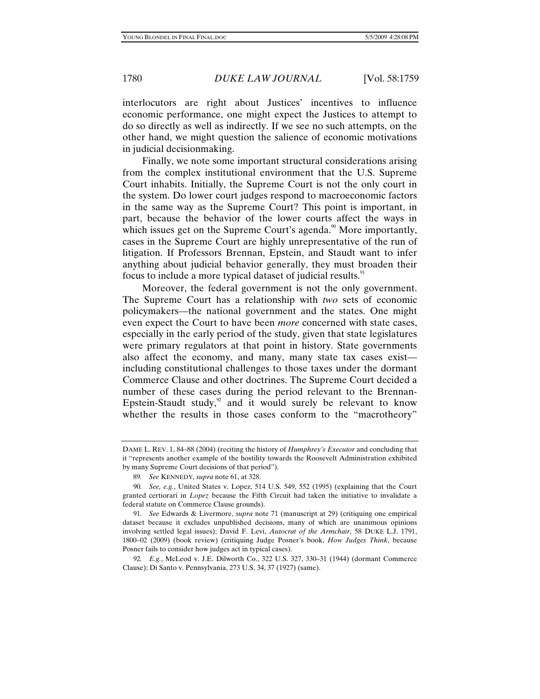interlocutors are right about Justices' incentives to influence economic performance, one might expect the Justices to attempt to do so directly as well as indirectly. If we see no such attempts, on the other hand, we might question the salience of economic motivations in judicial decisionmaking.

Finally, we note some important structural considerations arising from the complex institutional environment that the U.S. Supreme Court inhabits. Initially, the Supreme Court is not the only court in the system. Do lower court judges respond to macroeconomic factors in the same way as the Supreme Court? This point is important, in part, because the behavior of the lower courts affect the ways in which issues get on the Supreme Court's agenda. $90$  More importantly, cases in the Supreme Court are highly unrepresentative of the run of litigation. If Professors Brennan, Epstein, and Staudt want to infer anything about judicial behavior generally, they must broaden their focus to include a more typical dataset of judicial results.<sup>91</sup>

Moreover, the federal government is not the only government. The Supreme Court has a relationship with *two* sets of economic policymakers—the national government and the states. One might even expect the Court to have been *more* concerned with state cases, especially in the early period of the study, given that state legislatures were primary regulators at that point in history. State governments also affect the economy, and many, many state tax cases exist including constitutional challenges to those taxes under the dormant Commerce Clause and other doctrines. The Supreme Court decided a number of these cases during the period relevant to the Brennan-Epstein-Staudt study, $92$  and it would surely be relevant to know whether the results in those cases conform to the "macrotheory"

DAME L. REV. 1, 84–88 (2004) (reciting the history of *Humphrey's Executor* and concluding that it "represents another example of the hostility towards the Roosevelt Administration exhibited by many Supreme Court decisions of that period").

<sup>89</sup>*. See* KENNEDY, *supra* note 61, at 328.

<sup>90</sup>*. See, e.g.*, United States v. Lopez, 514 U.S. 549, 552 (1995) (explaining that the Court granted certiorari in *Lopez* because the Fifth Circuit had taken the initiative to invalidate a federal statute on Commerce Clause grounds).

<sup>91</sup>*. See* Edwards & Livermore, *supra* note 71 (manuscript at 29) (critiquing one empirical dataset because it excludes unpublished decisions, many of which are unanimous opinions involving settled legal issues); David F. Levi, *Autocrat of the Armchair*, 58 DUKE L.J. 1791, 1800–02 (2009) (book review) (critiquing Judge Posner's book, *How Judges Think*, because Posner fails to consider how judges act in typical cases).

<sup>92</sup>*. E.g.*, McLeod v. J.E. Dilworth Co., 322 U.S. 327, 330–31 (1944) (dormant Commerce Clause); Di Santo v. Pennsylvania, 273 U.S. 34, 37 (1927) (same).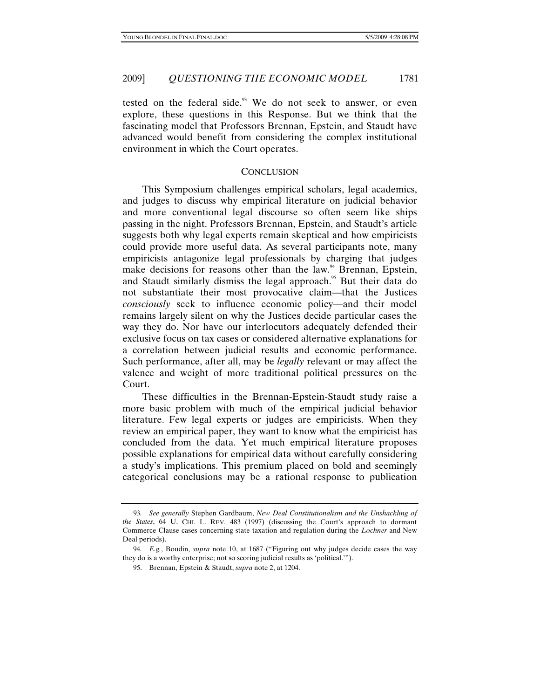tested on the federal side. $93$  We do not seek to answer, or even explore, these questions in this Response. But we think that the fascinating model that Professors Brennan, Epstein, and Staudt have advanced would benefit from considering the complex institutional environment in which the Court operates.

#### **CONCLUSION**

This Symposium challenges empirical scholars, legal academics, and judges to discuss why empirical literature on judicial behavior and more conventional legal discourse so often seem like ships passing in the night. Professors Brennan, Epstein, and Staudt's article suggests both why legal experts remain skeptical and how empiricists could provide more useful data. As several participants note, many empiricists antagonize legal professionals by charging that judges make decisions for reasons other than the law.<sup>94</sup> Brennan, Epstein, and Staudt similarly dismiss the legal approach.<sup>95</sup> But their data do not substantiate their most provocative claim—that the Justices *consciously* seek to influence economic policy—and their model remains largely silent on why the Justices decide particular cases the way they do. Nor have our interlocutors adequately defended their exclusive focus on tax cases or considered alternative explanations for a correlation between judicial results and economic performance. Such performance, after all, may be *legally* relevant or may affect the valence and weight of more traditional political pressures on the Court.

These difficulties in the Brennan-Epstein-Staudt study raise a more basic problem with much of the empirical judicial behavior literature. Few legal experts or judges are empiricists. When they review an empirical paper, they want to know what the empiricist has concluded from the data. Yet much empirical literature proposes possible explanations for empirical data without carefully considering a study's implications. This premium placed on bold and seemingly categorical conclusions may be a rational response to publication

<sup>93</sup>*. See generally* Stephen Gardbaum, *New Deal Constitutionalism and the Unshackling of the States*, 64 U. CHI. L. REV. 483 (1997) (discussing the Court's approach to dormant Commerce Clause cases concerning state taxation and regulation during the *Lochner* and New Deal periods).

<sup>94</sup>*. E.g.*, Boudin, *supra* note 10, at 1687 ("Figuring out why judges decide cases the way they do is a worthy enterprise; not so scoring judicial results as 'political.'").

 <sup>95.</sup> Brennan, Epstein & Staudt, *supra* note 2, at 1204.